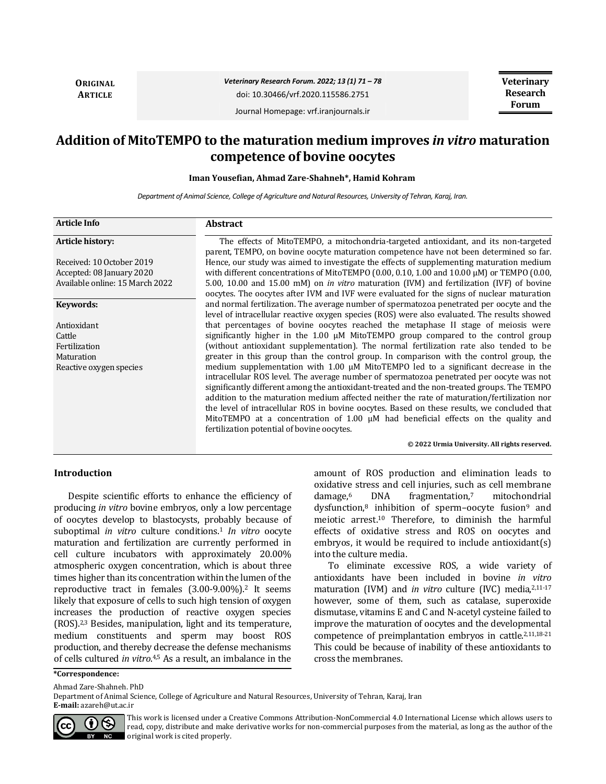**ORIGINAL ARTICLE**

### *Veterinary Research Forum. 2022; 13 (1) 71 – 78* doi: 10.30466/vrf.2020.115586.2751

**Veterinary Research Forum**

Journal Homepage: vrf.iranjournals.ir

# **Addition of MitoTEMPO to the maturation medium improves** *in vitro* **maturation competence of bovine oocytes**

**Iman Yousefian, Ahmad Zare-Shahneh\*, Hamid Kohram** 

*Department of Animal Science, College of Agriculture and Natural Resources, University of Tehran, Karaj, Iran.*

| <b>Article Info</b>             | <b>Abstract</b>                                                                                                                                                                                                                                                                                                                                                                                                                                                                                                                                                                                                     |  |  |  |  |
|---------------------------------|---------------------------------------------------------------------------------------------------------------------------------------------------------------------------------------------------------------------------------------------------------------------------------------------------------------------------------------------------------------------------------------------------------------------------------------------------------------------------------------------------------------------------------------------------------------------------------------------------------------------|--|--|--|--|
| Article history:                | The effects of MitoTEMPO, a mitochondria-targeted antioxidant, and its non-targeted<br>parent, TEMPO, on bovine oocyte maturation competence have not been determined so far.                                                                                                                                                                                                                                                                                                                                                                                                                                       |  |  |  |  |
| Received: 10 October 2019       | Hence, our study was aimed to investigate the effects of supplementing maturation medium                                                                                                                                                                                                                                                                                                                                                                                                                                                                                                                            |  |  |  |  |
| Accepted: 08 January 2020       | with different concentrations of MitoTEMPO (0.00, 0.10, 1.00 and 10.00 $\mu$ M) or TEMPO (0.00,                                                                                                                                                                                                                                                                                                                                                                                                                                                                                                                     |  |  |  |  |
| Available online: 15 March 2022 | 5.00, 10.00 and 15.00 mM) on in vitro maturation (IVM) and fertilization (IVF) of bovine                                                                                                                                                                                                                                                                                                                                                                                                                                                                                                                            |  |  |  |  |
|                                 | oocytes. The oocytes after IVM and IVF were evaluated for the signs of nuclear maturation                                                                                                                                                                                                                                                                                                                                                                                                                                                                                                                           |  |  |  |  |
| Keywords:                       | and normal fertilization. The average number of spermatozoa penetrated per oocyte and the                                                                                                                                                                                                                                                                                                                                                                                                                                                                                                                           |  |  |  |  |
|                                 | level of intracellular reactive oxygen species (ROS) were also evaluated. The results showed                                                                                                                                                                                                                                                                                                                                                                                                                                                                                                                        |  |  |  |  |
| Antioxidant                     | that percentages of bovine oocytes reached the metaphase II stage of meiosis were                                                                                                                                                                                                                                                                                                                                                                                                                                                                                                                                   |  |  |  |  |
| Cattle                          | significantly higher in the $1.00 \mu M$ MitoTEMPO group compared to the control group                                                                                                                                                                                                                                                                                                                                                                                                                                                                                                                              |  |  |  |  |
| Fertilization                   | (without antioxidant supplementation). The normal fertilization rate also tended to be                                                                                                                                                                                                                                                                                                                                                                                                                                                                                                                              |  |  |  |  |
| Maturation                      | greater in this group than the control group. In comparison with the control group, the                                                                                                                                                                                                                                                                                                                                                                                                                                                                                                                             |  |  |  |  |
| Reactive oxygen species         | medium supplementation with 1.00 µM MitoTEMPO led to a significant decrease in the<br>intracellular ROS level. The average number of spermatozoa penetrated per oocyte was not<br>significantly different among the antioxidant-treated and the non-treated groups. The TEMPO<br>addition to the maturation medium affected neither the rate of maturation/fertilization nor<br>the level of intracellular ROS in bovine oocytes. Based on these results, we concluded that<br>MitoTEMPO at a concentration of 1.00 $\mu$ M had beneficial effects on the quality and<br>fertilization potential of bovine oocytes. |  |  |  |  |

**© 2022 Urmia University. All rights reserved.**

## **Introduction**

Despite scientific efforts to enhance the efficiency of producing *in vitro* bovine embryos, only a low percentage of oocytes develop to blastocysts, probably because of suboptimal *in vitro* culture conditions.<sup>1</sup> *In vitro* oocyte maturation and fertilization are currently performed in cell culture incubators with approximately 20.00% atmospheric oxygen concentration, which is about three times higher than its concentration within the lumen of the reproductive tract in females (3.00-9.00%).<sup>2</sup> It seems likely that exposure of cells to such high tension of oxygen increases the production of reactive oxygen species (ROS).2,3 Besides, manipulation, light and its temperature, medium constituents and sperm may boost ROS production, and thereby decrease the defense mechanisms of cells cultured *in vitro*. 4,5 As a result, an imbalance in the

amount of ROS production and elimination leads to oxidative stress and cell injuries, such as cell membrane damage,<sup>6</sup> DNA fragmentation,<sup>7</sup> mitochondrial dysfunction,<sup>8</sup> inhibition of sperm-oocyte fusion<sup>9</sup> and meiotic arrest.<sup>10</sup> Therefore, to diminish the harmful effects of oxidative stress and ROS on oocytes and embryos, it would be required to include antioxidant(s) into the culture media.

To eliminate excessive ROS, a wide variety of antioxidants have been included in bovine *in vitro* maturation (IVM) and *in vitro* culture (IVC) media,<sup>2,11-17</sup> however, some of them, such as catalase, superoxide dismutase, vitamins E and C and N-acetyl cysteine failed to improve the maturation of oocytes and the developmental competence of preimplantation embryos in cattle.2,11,18-21 This could be because of inability of these antioxidants to cross the membranes.

**\*Correspondence:**

Ahmad Zare-Shahneh. PhD

Department of Animal Science, College of Agriculture and Natural Resources, University of Tehran, Karaj, Iran **E-mail:** azareh@ut.ac.ir



This work is licensed under a [Creative Commons Attribution-NonCommercial 4.0 International License](http://creativecommons.org/licenses/by-nc/4.0/) which allows users to read, copy, distribute and make derivative works for non-commercial purposes from the material, as long as the author of the original work is cited properly.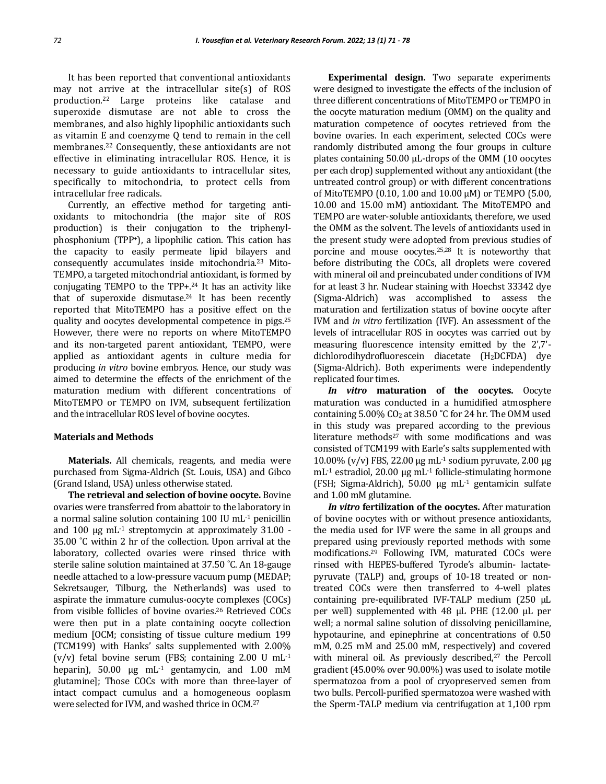It has been reported that conventional antioxidants may not arrive at the intracellular site(s) of ROS production.22 Large proteins like catalase and superoxide dismutase are not able to cross the membranes, and also highly lipophilic antioxidants such as vitamin E and coenzyme Q tend to remain in the cell membranes.<sup>22</sup> Consequently, these antioxidants are not effective in eliminating intracellular ROS. Hence, it is necessary to guide antioxidants to intracellular sites, specifically to mitochondria, to protect cells from intracellular free radicals.

Currently, an effective method for targeting antioxidants to mitochondria (the major site of ROS production) is their conjugation to the triphenylphosphonium (TPP+), a lipophilic cation. This cation has the capacity to easily permeate lipid bilayers and consequently accumulates inside mitochondria.<sup>23</sup> Mito-TEMPO, a targeted mitochondrial antioxidant, is formed by conjugating TEMPO to the TPP+.<sup>24</sup> It has an activity like that of superoxide dismutase.<sup>24</sup> It has been recently reported that MitoTEMPO has a positive effect on the quality and oocytes developmental competence in pigs.<sup>25</sup> However, there were no reports on where MitoTEMPO and its non-targeted parent antioxidant, TEMPO, were applied as antioxidant agents in culture media for producing *in vitro* bovine embryos. Hence, our study was aimed to determine the effects of the enrichment of the maturation medium with different concentrations of MitoTEMPO or TEMPO on IVM, subsequent fertilization and the intracellular ROS level of bovine oocytes.

#### **Materials and Methods**

**Materials.** All chemicals, reagents, and media were purchased from Sigma-Aldrich (St. Louis, USA) and Gibco (Grand Island, USA) unless otherwise stated.

**The retrieval and selection of bovine oocyte.** Bovine ovaries were transferred from abattoir to the laboratory in a normal saline solution containing 100 IU mL-1 penicillin and 100 μg mL-1 streptomycin at approximately 31.00 - 35.00 ˚C within 2 hr of the collection. Upon arrival at the laboratory, collected ovaries were rinsed thrice with sterile saline solution maintained at 37.50 ˚C. An 18-gauge needle attached to a low-pressure vacuum pump (MEDAP; Sekretsauger, Tilburg, the Netherlands) was used to aspirate the immature cumulus-oocyte complexes (COCs) from visible follicles of bovine ovaries.<sup>26</sup> Retrieved COCs were then put in a plate containing oocyte collection medium [OCM; consisting of tissue culture medium 199 (TCM199) with Hanks' salts supplemented with 2.00%  $(v/v)$  fetal bovine serum (FBS; containing 2.00 U mL<sup>-1</sup> heparin),  $50.00 \text{ µg} \text{ mL}^{-1} \text{ gentamycin}$ , and  $1.00 \text{ mM}$ glutamine]; Those COCs with more than three-layer of intact compact cumulus and a homogeneous ooplasm were selected for IVM, and washed thrice in OCM.<sup>27</sup>

**Experimental design.** Two separate experiments were designed to investigate the effects of the inclusion of three different concentrations of MitoTEMPO or TEMPO in the oocyte maturation medium (OMM) on the quality and maturation competence of oocytes retrieved from the bovine ovaries. In each experiment, selected COCs were randomly distributed among the four groups in culture plates containing 50.00 µL-drops of the OMM (10 oocytes per each drop) supplemented without any antioxidant (the untreated control group) or with different concentrations of MitoTEMPO (0.10, 1.00 and 10.00 µM) or TEMPO (5.00, 10.00 and 15.00 mM) antioxidant. The MitoTEMPO and TEMPO are water-soluble antioxidants, therefore, we used the OMM as the solvent. The levels of antioxidants used in the present study were adopted from previous studies of porcine and mouse oocytes.25,28 It is noteworthy that before distributing the COCs, all droplets were covered with mineral oil and preincubated under conditions of IVM for at least 3 hr. Nuclear staining with Hoechst 33342 dye (Sigma-Aldrich) was accomplished to assess the maturation and fertilization status of bovine oocyte after IVM and *in vitro* fertilization (IVF). An assessment of the levels of intracellular ROS in oocytes was carried out by measuring fluorescence intensity emitted by the 2',7' dichlorodihydrofluorescein diacetate (H2DCFDA) dye (Sigma-Aldrich). Both experiments were independently replicated four times.

*In vitro* **maturation of the oocytes.** Oocyte maturation was conducted in a humidified atmosphere containing 5.00% CO<sup>2</sup> at 38.50 ˚C for 24 hr. The OMM used in this study was prepared according to the previous literature methods<sup>27</sup> with some modifications and was consisted of TCM199 with Earle's salts supplemented with 10.00% (v/v) FBS, 22.00 µg mL-1 sodium pyruvate, 2.00 µg  $mL<sup>-1</sup>$  estradiol, 20.00 µg mL<sup>-1</sup> follicle-stimulating hormone (FSH; Sigma-Aldrich), 50.00 µg mL-1 gentamicin sulfate and 1.00 mM glutamine.

*In vitro* **fertilization of the oocytes.** After maturation of bovine oocytes with or without presence antioxidants, the media used for IVF were the same in all groups and prepared using previously reported methods with some modifications.<sup>29</sup> Following IVM, maturated COCs were rinsed with HEPES-buffered Tyrode's albumin- lactatepyruvate (TALP) and, groups of 10-18 treated or nontreated COCs were then transferred to 4-well plates containing pre-equilibrated IVF-TALP medium (250 µL per well) supplemented with 48 µL PHE (12.00 µL per well; a normal saline solution of dissolving penicillamine, hypotaurine, and epinephrine at concentrations of 0.50 mM, 0.25 mM and 25.00 mM, respectively) and covered with mineral oil. As previously described,<sup>27</sup> the Percoll gradient (45.00% over 90.00%) was used to isolate motile spermatozoa from a pool of cryopreserved semen from two bulls. Percoll-purified spermatozoa were washed with the Sperm-TALP medium via centrifugation at 1,100 rpm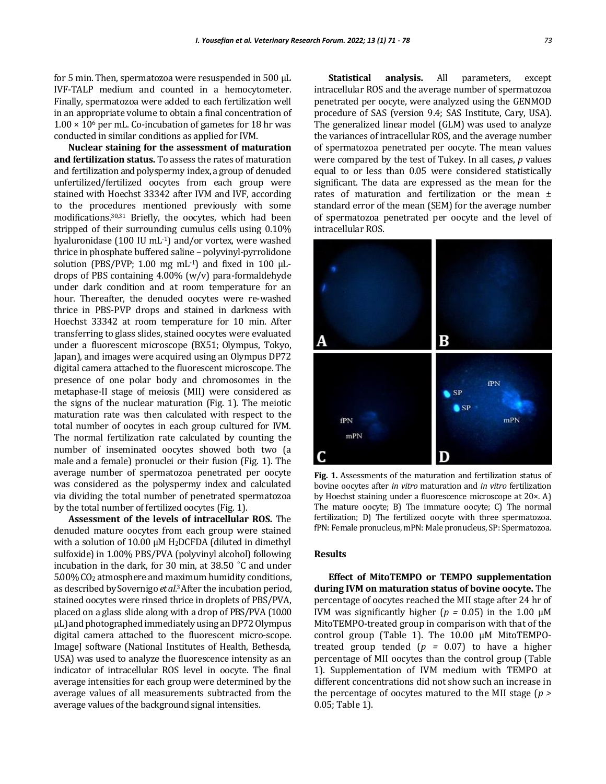for 5 min. Then, spermatozoa were resuspended in 500 µL IVF-TALP medium and counted in a hemocytometer. Finally, spermatozoa were added to each fertilization well in an appropriate volume to obtain a final concentration of  $1.00 \times 10^6$  per mL. Co-incubation of gametes for 18 hr was conducted in similar conditions as applied for IVM.

**Nuclear staining for the assessment of maturation and fertilization status.** To assess the rates of maturation and fertilization and polyspermy index, a group of denuded unfertilized/fertilized oocytes from each group were stained with Hoechst 33342 after IVM and IVF, according to the procedures mentioned previously with some modifications.30,31 Briefly, the oocytes, which had been stripped of their surrounding cumulus cells using 0.10% hyaluronidase (100 IU mL-1) and/or vortex, were washed thrice in phosphate buffered saline – polyvinyl-pyrrolidone solution (PBS/PVP; 1.00 mg mL $^{-1}$ ) and fixed in 100  $\mu$ Ldrops of PBS containing 4.00% (w/v) para-formaldehyde under dark condition and at room temperature for an hour. Thereafter, the denuded oocytes were re-washed thrice in PBS-PVP drops and stained in darkness with Hoechst 33342 at room temperature for 10 min. After transferring to glass slides, stained oocytes were evaluated under a fluorescent microscope (BX51; Olympus, Tokyo, Japan), and images were acquired using an Olympus DP72 digital camera attached to the fluorescent microscope. The presence of one polar body and chromosomes in the metaphase-II stage of meiosis (MII) were considered as the signs of the nuclear maturation (Fig. 1). The meiotic maturation rate was then calculated with respect to the total number of oocytes in each group cultured for IVM. The normal fertilization rate calculated by counting the number of inseminated oocytes showed both two (a male and a female) pronuclei or their fusion (Fig. 1). The average number of spermatozoa penetrated per oocyte was considered as the polyspermy index and calculated via dividing the total number of penetrated spermatozoa by the total number of fertilized oocytes (Fig. 1).

**Assessment of the levels of intracellular ROS.** The denuded mature oocytes from each group were stained with a solution of 10.00 μM H2DCFDA (diluted in dimethyl sulfoxide) in 1.00% PBS/PVA (polyvinyl alcohol) following incubation in the dark, for 30 min, at 38.50 ˚C and under 5.00% CO<sup>2</sup> atmosphere and maximum humidity conditions, as described by Sovernigo *et al.* <sup>3</sup>After the incubation period, stained oocytes were rinsed thrice in droplets of PBS/PVA, placed on a glass slide along with a drop of PBS/PVA (10.00  $\mu$ L) and photographed immediately using an DP72 Olympus digital camera attached to the fluorescent micro-scope. ImageJ software (National Institutes of Health, Bethesda, USA) was used to analyze the fluorescence intensity as an indicator of intracellular ROS level in oocyte. The final average intensities for each group were determined by the average values of all measurements subtracted from the average values of the background signal intensities.

**Statistical analysis.** All parameters, except intracellular ROS and the average number of spermatozoa penetrated per oocyte, were analyzed using the GENMOD procedure of SAS (version 9.4; SAS Institute, Cary, USA). The generalized linear model (GLM) was used to analyze the variances of intracellular ROS, and the average number of spermatozoa penetrated per oocyte. The mean values were compared by the test of Tukey. In all cases, *p* values equal to or less than 0.05 were considered statistically significant. The data are expressed as the mean for the rates of maturation and fertilization or the mean  $\pm$ standard error of the mean (SEM) for the average number of spermatozoa penetrated per oocyte and the level of intracellular ROS.



**Fig. 1.** Assessments of the maturation and fertilization status of bovine oocytes after *in vitro* maturation and *in vitro* fertilization by Hoechst staining under a fluorescence microscope at 20×. A) The mature oocyte; B) The immature oocyte; C) The normal fertilization; D) The fertilized oocyte with three spermatozoa. fPN: Female pronucleus, mPN: Male pronucleus, SP: Spermatozoa.

#### **Results**

**Effect of MitoTEMPO or TEMPO supplementation during IVM on maturation status of bovine oocyte.** The percentage of oocytes reached the MII stage after 24 hr of IVM was significantly higher ( $p = 0.05$ ) in the 1.00  $\mu$ M MitoTEMPO-treated group in comparison with that of the control group (Table 1). The 10.00 µM MitoTEMPOtreated group tended (*p =* 0.07) to have a higher percentage of MII oocytes than the control group (Table 1). Supplementation of IVM medium with TEMPO at different concentrations did not show such an increase in the percentage of oocytes matured to the MII stage (*p >*  0.05; Table 1).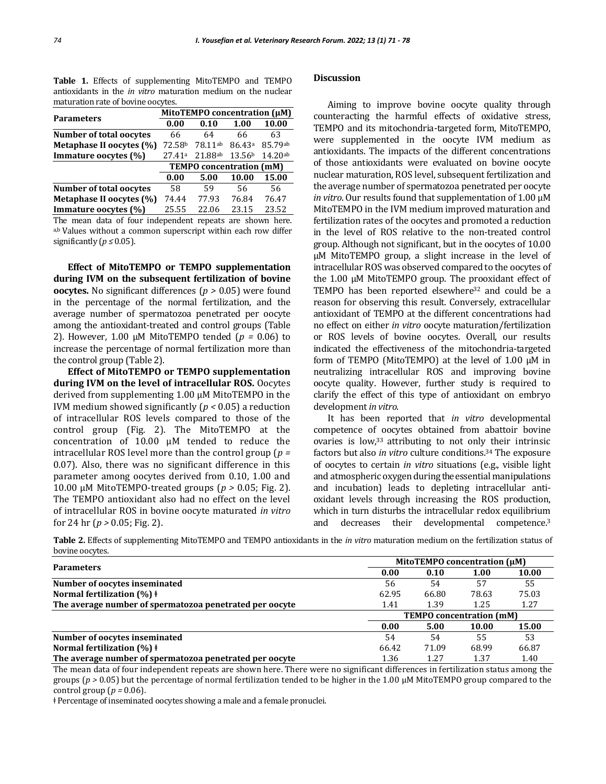**Table 1.** Effects of supplementing MitoTEMPO and TEMPO antioxidants in the *in vitro* maturation medium on the nuclear maturation rate of bovine oocytes.

|                                | MitoTEMPO concentration (µM)    |         |                    |         |  |
|--------------------------------|---------------------------------|---------|--------------------|---------|--|
| <b>Parameters</b>              | 0.00                            | 0.10    | 1.00               | 10.00   |  |
| <b>Number of total oocytes</b> | 66                              | 64      | 66                 | 63      |  |
| Metaphase II oocytes (%)       | 72.58b                          | 78.11ab | 86.43 <sup>a</sup> | 85.79ab |  |
| Immature oocytes (%)           | 27.41a                          | 21.88ab | 13.56 <sup>b</sup> | 14.20ab |  |
|                                | <b>TEMPO</b> concentration (mM) |         |                    |         |  |
|                                | 0.00                            | 5.00    | 10.00              | 15.00   |  |
| <b>Number of total oocytes</b> | 58                              | 59      | 56                 | 56      |  |
| Metaphase II oocytes (%)       | 74.44                           | 77.93   | 76.84              | 76.47   |  |
| Immature oocytes (%)           | 25.55                           | 22.06   | 23.15              | 23.52   |  |

The mean data of four independent repeats are shown here. a,b Values without a common superscript within each row differ significantly ( $p \leq 0.05$ ).

**Effect of MitoTEMPO or TEMPO supplementation during IVM on the subsequent fertilization of bovine oocytes.** No significant differences (*p >* 0.05) were found in the percentage of the normal fertilization, and the average number of spermatozoa penetrated per oocyte among the antioxidant-treated and control groups (Table 2). However, 1.00 µM MitoTEMPO tended (*p =* 0.06) to increase the percentage of normal fertilization more than the control group (Table 2).

**Effect of MitoTEMPO or TEMPO supplementation during IVM on the level of intracellular ROS.** Oocytes derived from supplementing 1.00 µM MitoTEMPO in the IVM medium showed significantly (*p <* 0.05) a reduction of intracellular ROS levels compared to those of the control group (Fig. 2). The MitoTEMPO at the concentration of 10.00 µM tended to reduce the intracellular ROS level more than the control group (*p =*  0.07). Also, there was no significant difference in this parameter among oocytes derived from 0.10, 1.00 and 10.00 µM MitoTEMPO-treated groups (*p >* 0.05; Fig. 2). The TEMPO antioxidant also had no effect on the level of intracellular ROS in bovine oocyte maturated *in vitro* for 24 hr (*p >* 0.05; Fig. 2).

#### **Discussion**

Aiming to improve bovine oocyte quality through counteracting the harmful effects of oxidative stress, TEMPO and its mitochondria-targeted form, MitoTEMPO, were supplemented in the oocyte IVM medium as antioxidants. The impacts of the different concentrations of those antioxidants were evaluated on bovine oocyte nuclear maturation, ROS level, subsequent fertilization and the average number of spermatozoa penetrated per oocyte *in vitro*. Our results found that supplementation of 1.00 µM MitoTEMPO in the IVM medium improved maturation and fertilization rates of the oocytes and promoted a reduction in the level of ROS relative to the non-treated control group. Although not significant, but in the oocytes of 10.00 µM MitoTEMPO group, a slight increase in the level of intracellular ROS was observed compared to the oocytes of the 1.00 µM MitoTEMPO group. The prooxidant effect of TEMPO has been reported elsewhere<sup>32</sup> and could be a reason for observing this result. Conversely, extracellular antioxidant of TEMPO at the different concentrations had no effect on either *in vitro* oocyte maturation/fertilization or ROS levels of bovine oocytes. Overall, our results indicated the effectiveness of the mitochondria-targeted form of TEMPO (MitoTEMPO) at the level of  $1.00 \mu$ M in neutralizing intracellular ROS and improving bovine oocyte quality. However, further study is required to clarify the effect of this type of antioxidant on embryo development *in vitro*.

It has been reported that *in vitro* developmental competence of oocytes obtained from abattoir bovine ovaries is low,33 attributing to not only their intrinsic factors but also *in vitro* culture conditions.<sup>34</sup> The exposure of oocytes to certain *in vitro* situations (e.g., visible light and atmospheric oxygen during the essential manipulations and incubation) leads to depleting intracellular antioxidant levels through increasing the ROS production, which in turn disturbs the intracellular redox equilibrium and decreases their developmental competence.<sup>3</sup>

**Table 2.** Effects of supplementing MitoTEMPO and TEMPO antioxidants in the *in vitro* maturation medium on the fertilization status of bovine oocytes.

|                                                         | MitoTEMPO concentration (µM) |                                 |       |       |  |
|---------------------------------------------------------|------------------------------|---------------------------------|-------|-------|--|
| <b>Parameters</b>                                       | 0.00                         | 0.10                            | 1.00  | 10.00 |  |
| Number of oocytes inseminated                           | 56                           | 54                              | 57    | 55    |  |
| Normal fertilization $(\%)$ +                           | 62.95                        | 66.80                           | 78.63 | 75.03 |  |
| The average number of spermatozoa penetrated per oocyte | 1.41                         | 1.39                            | 1.25  | 1.27  |  |
|                                                         |                              | <b>TEMPO</b> concentration (mM) |       |       |  |
|                                                         | 0.00                         | 5.00                            | 10.00 | 15.00 |  |
| Number of oocytes inseminated                           | 54                           | 54                              | 55    | 53    |  |
| Normal fertilization $(\%)$ +                           | 66.42                        | 71.09                           | 68.99 | 66.87 |  |
| The average number of spermatozoa penetrated per oocyte | 1.36                         | 1.27                            | 1.37  | 1.40  |  |

The mean data of four independent repeats are shown here. There were no significant differences in fertilization status among the groups (*p >* 0.05) but the percentage of normal fertilization tended to be higher in the 1.00 µM MitoTEMPO group compared to the control group (*p =* 0.06).

ǂ Percentage of inseminated oocytes showing a male and a female pronuclei.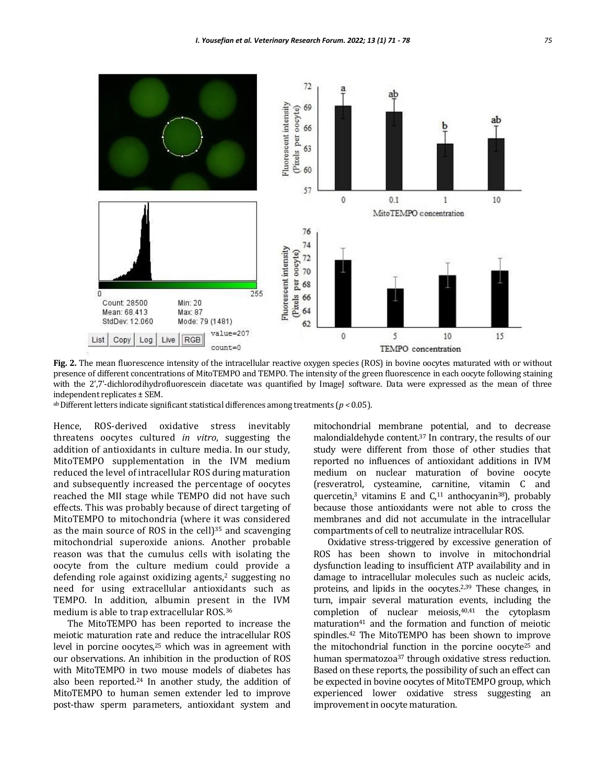

**Fig. 2.** The mean fluorescence intensity of the intracellular reactive oxygen species (ROS) in bovine oocytes maturated with or without presence of different concentrations of MitoTEMPO and TEMPO. The intensity of the green fluorescence in each oocyte following staining with the 2',7'-dichlorodihydrofluorescein diacetate was quantified by ImageJ software. Data were expressed as the mean of three independent replicates ± SEM.

ab Different letters indicate significant statistical differences among treatments (*p <* 0.05).

Hence, ROS-derived oxidative stress inevitably threatens oocytes cultured *in vitro*, suggesting the addition of antioxidants in culture media. In our study, MitoTEMPO supplementation in the IVM medium reduced the level of intracellular ROS during maturation and subsequently increased the percentage of oocytes reached the MII stage while TEMPO did not have such effects. This was probably because of direct targeting of MitoTEMPO to mitochondria (where it was considered as the main source of ROS in the cell $]$ <sup>35</sup> and scavenging mitochondrial superoxide anions. Another probable reason was that the cumulus cells with isolating the oocyte from the culture medium could provide a defending role against oxidizing agents,<sup>2</sup> suggesting no need for using extracellular antioxidants such as TEMPO. In addition, albumin present in the IVM medium is able to trap extracellular ROS.<sup>36</sup>

The MitoTEMPO has been reported to increase the meiotic maturation rate and reduce the intracellular ROS level in porcine oocytes,<sup>25</sup> which was in agreement with our observations. An inhibition in the production of ROS with MitoTEMPO in two mouse models of diabetes has also been reported.<sup>24</sup> In another study, the addition of MitoTEMPO to human semen extender led to improve post-thaw sperm parameters, antioxidant system and

mitochondrial membrane potential, and to decrease malondialdehyde content.<sup>37</sup> In contrary, the results of our study were different from those of other studies that reported no influences of antioxidant additions in IVM medium on nuclear maturation of bovine oocyte (resveratrol, cysteamine, carnitine, vitamin C and quercetin,<sup>3</sup> vitamins E and  $C$ ,<sup>11</sup> anthocyanin<sup>38</sup>), probably because those antioxidants were not able to cross the membranes and did not accumulate in the intracellular compartments of cell to neutralize intracellular ROS.

Oxidative stress-triggered by excessive generation of ROS has been shown to involve in mitochondrial dysfunction leading to insufficient ATP availability and in damage to intracellular molecules such as nucleic acids, proteins, and lipids in the oocytes.2,39 These changes, in turn, impair several maturation events, including the completion of nuclear meiosis,40,41 the cytoplasm maturation<sup>41</sup> and the formation and function of meiotic spindles.<sup>42</sup> The MitoTEMPO has been shown to improve the mitochondrial function in the porcine oocyte<sup>25</sup> and human spermatozoa<sup>37</sup> through oxidative stress reduction. Based on these reports, the possibility of such an effect can be expected in bovine oocytes of MitoTEMPO group, which experienced lower oxidative stress suggesting an improvement in oocyte maturation.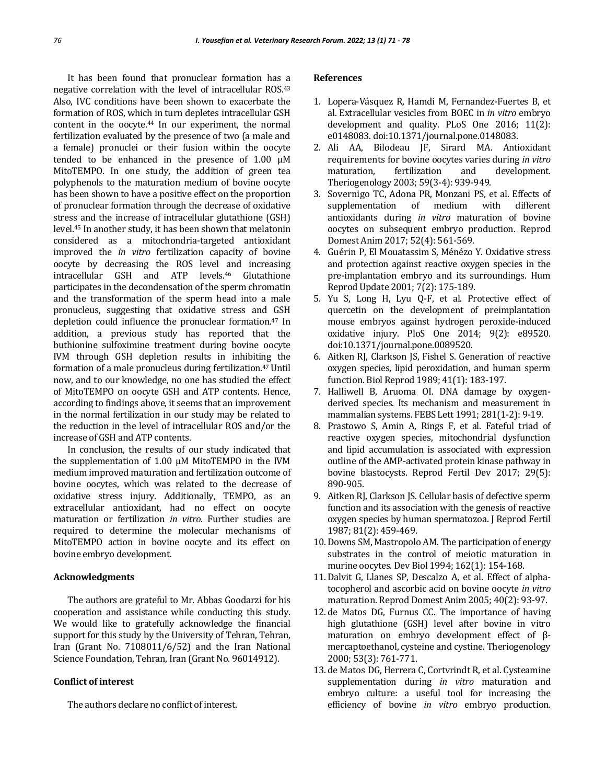It has been found that pronuclear formation has a negative correlation with the level of intracellular ROS.<sup>43</sup> Also, IVC conditions have been shown to exacerbate the formation of ROS, which in turn depletes intracellular GSH content in the oocyte.<sup>44</sup> In our experiment, the normal fertilization evaluated by the presence of two (a male and a female) pronuclei or their fusion within the oocyte tended to be enhanced in the presence of 1.00 µM MitoTEMPO. In one study, the addition of green tea polyphenols to the maturation medium of bovine oocyte has been shown to have a positive effect on the proportion of pronuclear formation through the decrease of oxidative stress and the increase of intracellular glutathione (GSH) level.<sup>45</sup> In another study, it has been shown that melatonin considered as a mitochondria-targeted antioxidant improved the *in vitro* fertilization capacity of bovine oocyte by decreasing the ROS level and increasing intracellular GSH and ATP levels.<sup>46</sup> Glutathione participates in the decondensation of the sperm chromatin and the transformation of the sperm head into a male pronucleus, suggesting that oxidative stress and GSH depletion could influence the pronuclear formation.<sup>47</sup> In addition, a previous study has reported that the buthionine sulfoximine treatment during bovine oocyte IVM through GSH depletion results in inhibiting the formation of a male pronucleus during fertilization.47 Until now, and to our knowledge, no one has studied the effect of MitoTEMPO on oocyte GSH and ATP contents. Hence, according to findings above, it seems that an improvement in the normal fertilization in our study may be related to the reduction in the level of intracellular ROS and/or the increase of GSH and ATP contents.

In conclusion, the results of our study indicated that the supplementation of 1.00 µM MitoTEMPO in the IVM medium improved maturation and fertilization outcome of bovine oocytes, which was related to the decrease of oxidative stress injury. Additionally, TEMPO, as an extracellular antioxidant, had no effect on oocyte maturation or fertilization *in vitro*. Further studies are required to determine the molecular mechanisms of MitoTEMPO action in bovine oocyte and its effect on bovine embryo development.

#### **Acknowledgments**

The authors are grateful to Mr. Abbas Goodarzi for his cooperation and assistance while conducting this study. We would like to gratefully acknowledge the financial support for this study by the University of Tehran, Tehran, Iran (Grant No. 7108011/6/52) and the Iran National Science Foundation, Tehran, Iran (Grant No. 96014912).

#### **Conflict of interest**

The authors declare no conflict of interest.

#### **References**

- 1. Lopera-Vásquez R, Hamdi M, Fernandez-Fuertes B, et al. Extracellular vesicles from BOEC in *in vitro* embryo development and quality. PLoS One 2016; 11(2): e0148083. doi:10.1371/journal.pone.0148083.
- 2. Ali AA, Bilodeau JF, Sirard MA. Antioxidant requirements for bovine oocytes varies during *in vitro* maturation, fertilization and development. Theriogenology 2003; 59(3-4): 939-949.
- 3. Sovernigo TC, Adona PR, Monzani PS, et al. Effects of supplementation of medium with different antioxidants during *in vitro* maturation of bovine oocytes on subsequent embryo production. Reprod Domest Anim 2017; 52(4): 561-569.
- 4. Guérin P, El Mouatassim S, Ménézo Y. Oxidative stress and protection against reactive oxygen species in the pre-implantation embryo and its surroundings. Hum Reprod Update 2001; 7(2): 175-189.
- 5. Yu S, Long H, Lyu Q-F, et al. Protective effect of quercetin on the development of preimplantation mouse embryos against hydrogen peroxide-induced oxidative injury. PloS One 2014; 9(2): e89520. doi:10.1371/journal.pone.0089520.
- 6. Aitken RJ, Clarkson JS, Fishel S. Generation of reactive oxygen species, lipid peroxidation, and human sperm function. Biol Reprod 1989; 41(1): 183-197.
- 7. Halliwell B, Aruoma OI. DNA damage by oxygen‐ derived species. Its mechanism and measurement in mammalian systems. FEBS Lett 1991; 281(1-2): 9-19.
- 8. Prastowo S, Amin A, Rings F, et al. Fateful triad of reactive oxygen species, mitochondrial dysfunction and lipid accumulation is associated with expression outline of the AMP-activated protein kinase pathway in bovine blastocysts. Reprod Fertil Dev 2017; 29(5): 890-905.
- 9. Aitken RJ, Clarkson JS. Cellular basis of defective sperm function and its association with the genesis of reactive oxygen species by human spermatozoa. J Reprod Fertil 1987; 81(2): 459-469.
- 10. Downs SM, Mastropolo AM. The participation of energy substrates in the control of meiotic maturation in murine oocytes. Dev Biol 1994; 162(1): 154-168.
- 11. Dalvit G, Llanes SP, Descalzo A, et al. Effect of alpha‐ tocopherol and ascorbic acid on bovine oocyte *in vitro*  maturation. Reprod Domest Anim 2005; 40(2): 93-97.
- 12. de Matos DG, Furnus CC. The importance of having high glutathione (GSH) level after bovine in vitro maturation on embryo development effect of βmercaptoethanol, cysteine and cystine. Theriogenology 2000; 53(3): 761-771.
- 13. de Matos DG, Herrera C, Cortvrindt R, et al. Cysteamine supplementation during *in vitro* maturation and embryo culture: a useful tool for increasing the efficiency of bovine *in vitro* embryo production.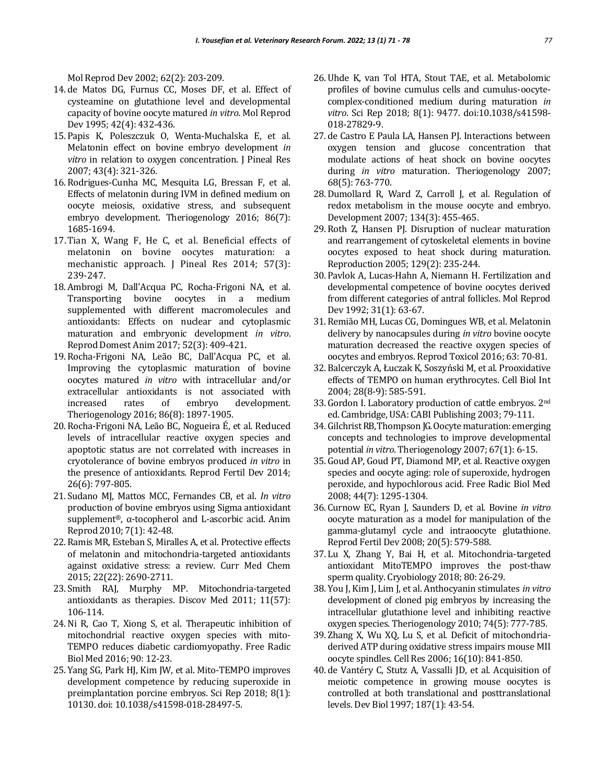Mol Reprod Dev 2002; 62(2): 203-209.

- 14. de Matos DG, Furnus CC, Moses DF, et al. Effect of cysteamine on glutathione level and developmental capacity of bovine oocyte matured *in vitro*. Mol Reprod Dev 1995; 42(4): 432-436.
- 15. Papis K, Poleszczuk O, Wenta‐Muchalska E, et al. Melatonin effect on bovine embryo development *in vitro* in relation to oxygen concentration. J Pineal Res 2007; 43(4): 321-326.
- 16. Rodrigues-Cunha MC, Mesquita LG, Bressan F, et al. Effects of melatonin during IVM in defined medium on oocyte meiosis, oxidative stress, and subsequent embryo development. Theriogenology 2016; 86(7): 1685-1694.
- 17.Tian X, Wang F, He C, et al. Beneficial effects of melatonin on bovine oocytes maturation: a mechanistic approach. J Pineal Res 2014; 57(3): 239-247.
- 18. Ambrogi M, Dall'Acqua PC, Rocha‐Frigoni NA, et al. Transporting bovine oocytes in a medium supplemented with different macromolecules and antioxidants: Effects on nuclear and cytoplasmic maturation and embryonic development *in vitro*. Reprod Domest Anim 2017; 52(3): 409-421.
- 19. Rocha-Frigoni NA, Leão BC, Dall'Acqua PC, et al. Improving the cytoplasmic maturation of bovine oocytes matured *in vitro* with intracellular and/or extracellular antioxidants is not associated with increased rates of embryo development. Theriogenology 2016; 86(8): 1897-1905.
- 20. Rocha-Frigoni NA, Leão BC, Nogueira É, et al. Reduced levels of intracellular reactive oxygen species and apoptotic status are not correlated with increases in cryotolerance of bovine embryos produced *in vitro* in the presence of antioxidants. Reprod Fertil Dev 2014; 26(6): 797-805.
- 21. Sudano MJ, Mattos MCC, Fernandes CB, et al. *In vitro* production of bovine embryos using Sigma antioxidant supplement®, α-tocopherol and L-ascorbic acid. Anim Reprod 2010; 7(1): 42-48.
- 22. Ramis MR, Esteban S, Miralles A, et al. Protective effects of melatonin and mitochondria-targeted antioxidants against oxidative stress: a review. Curr Med Chem 2015; 22(22): 2690-2711.
- 23. Smith RAJ, Murphy MP. Mitochondria-targeted antioxidants as therapies. Discov Med 2011; 11(57): 106-114.
- 24.Ni R, Cao T, Xiong S, et al. Therapeutic inhibition of mitochondrial reactive oxygen species with mito-TEMPO reduces diabetic cardiomyopathy. Free Radic Biol Med 2016; 90: 12-23.
- 25. Yang SG, Park HJ, Kim JW, et al. Mito-TEMPO improves development competence by reducing superoxide in preimplantation porcine embryos. Sci Rep 2018; 8(1): 10130. doi: 10.1038/s41598-018-28497-5.
- 26. Uhde K, van Tol HTA, Stout TAE, et al. Metabolomic profiles of bovine cumulus cells and cumulus-oocytecomplex-conditioned medium during maturation *in vitro*. Sci Rep 2018; 8(1): 9477. doi:10.1038/s41598- 018-27829-9.
- 27. de Castro E Paula LA, Hansen PJ. Interactions between oxygen tension and glucose concentration that modulate actions of heat shock on bovine oocytes during *in vitro* maturation. Theriogenology 2007; 68(5): 763-770.
- 28. Dumollard R, Ward Z, Carroll J, et al. Regulation of redox metabolism in the mouse oocyte and embryo. Development 2007; 134(3): 455-465.
- 29. Roth Z, Hansen PJ. Disruption of nuclear maturation and rearrangement of cytoskeletal elements in bovine oocytes exposed to heat shock during maturation. Reproduction 2005; 129(2): 235-244.
- 30. Pavlok A, Lucas‐Hahn A, Niemann H. Fertilization and developmental competence of bovine oocytes derived from different categories of antral follicles. Mol Reprod Dev 1992; 31(1): 63-67.
- 31. Remião MH, Lucas CG, Domingues WB, et al. Melatonin delivery by nanocapsules during *in vitro* bovine oocyte maturation decreased the reactive oxygen species of oocytes and embryos. Reprod Toxicol 2016; 63: 70-81.
- 32. Balcerczyk A, Łuczak K, Soszyński M, et al. Prooxidative effects of TEMPO on human erythrocytes. Cell Biol Int 2004; 28(8‐9): 585-591.
- 33. Gordon I. Laboratory production of cattle embryos. 2nd ed. Cambridge, USA: CABI Publishing 2003; 79-111.
- 34. Gilchrist RB, Thompson JG. Oocyte maturation: emerging concepts and technologies to improve developmental potential *in vitro*. Theriogenology 2007; 67(1): 6-15.
- 35. Goud AP, Goud PT, Diamond MP, et al. Reactive oxygen species and oocyte aging: role of superoxide, hydrogen peroxide, and hypochlorous acid. Free Radic Biol Med 2008; 44(7): 1295-1304.
- 36. Curnow EC, Ryan J, Saunders D, et al. Bovine *in vitro* oocyte maturation as a model for manipulation of the gamma-glutamyl cycle and intraoocyte glutathione. Reprod Fertil Dev 2008; 20(5): 579-588.
- 37. Lu X, Zhang Y, Bai H, et al. Mitochondria-targeted antioxidant MitoTEMPO improves the post-thaw sperm quality. Cryobiology 2018; 80: 26-29.
- 38. You J, Kim J, Lim J, et al. Anthocyanin stimulates *in vitro* development of cloned pig embryos by increasing the intracellular glutathione level and inhibiting reactive oxygen species. Theriogenology 2010; 74(5): 777-785.
- 39. Zhang X, Wu XQ, Lu S, et al. Deficit of mitochondriaderived ATP during oxidative stress impairs mouse MII oocyte spindles. Cell Res 2006; 16(10): 841-850.
- 40. de Vantéry C, Stutz A, Vassalli JD, et al. Acquisition of meiotic competence in growing mouse oocytes is controlled at both translational and posttranslational levels. Dev Biol 1997; 187(1): 43-54.